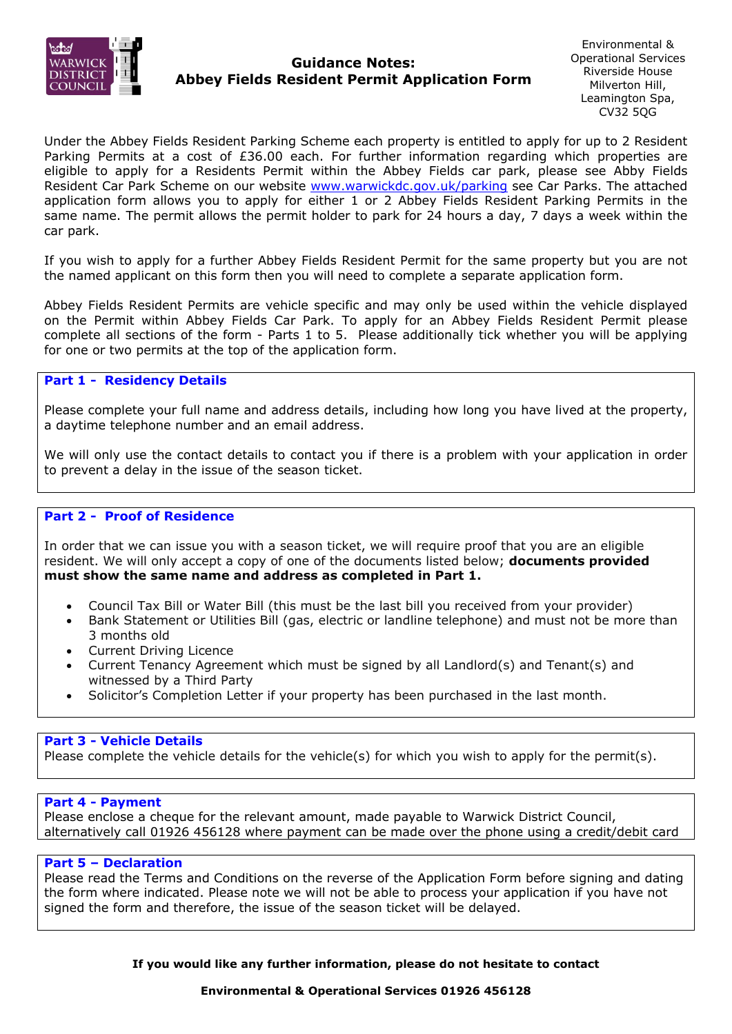

# **Guidance Notes:** <sup>Operational Services<br>**Abbey Fields Resident Permit Application Form** Riverside House</sup>

 Environmental & **Operational Services** Leamington Spa, CV32 5QG

 Under the Abbey Fields Resident Parking Scheme each property is entitled to apply for up to 2 Resident Parking Permits at a cost of £36.00 each. For further information regarding which properties are Resident Car Park Scheme on our website [www.warwickdc.gov.uk/parking](http://www.warwickdc.gov.uk/parking) see Car Parks. The attached application form allows you to apply for either 1 or 2 Abbey Fields Resident Parking Permits in the same name. The permit allows the permit holder to park for 24 hours a day, 7 days a week within the eligible to apply for a Residents Permit within the Abbey Fields car park, please see Abby Fields car park.

 If you wish to apply for a further Abbey Fields Resident Permit for the same property but you are not the named applicant on this form then you will need to complete a separate application form.

 Abbey Fields Resident Permits are vehicle specific and may only be used within the vehicle displayed on the Permit within Abbey Fields Car Park. To apply for an Abbey Fields Resident Permit please complete all sections of the form - Parts 1 to 5. Please additionally tick whether you will be applying for one or two permits at the top of the application form.

## **Part 1 - Residency Details**

 Please complete your full name and address details, including how long you have lived at the property, a daytime telephone number and an email address.

 We will only use the contact details to contact you if there is a problem with your application in order to prevent a delay in the issue of the season ticket.

### **Part 2 - Proof of Residence**

 In order that we can issue you with a season ticket, we will require proof that you are an eligible resident. We will only accept a copy of one of the documents listed below; **documents provided must show the same name and address as completed in Part 1.** 

- Council Tax Bill or Water Bill (this must be the last bill you received from your provider)
- • Bank Statement or Utilities Bill (gas, electric or landline telephone) and must not be more than 3 months old
- Current Driving Licence
- • Current Tenancy Agreement which must be signed by all Landlord(s) and Tenant(s) and witnessed by a Third Party
- Solicitor's Completion Letter if your property has been purchased in the last month.

### **Part 3 - Vehicle Details**

Please complete the vehicle details for the vehicle(s) for which you wish to apply for the permit(s).

#### **Part 4 - Payment**

 Please enclose a cheque for the relevant amount, made payable to Warwick District Council, alternatively call 01926 456128 where payment can be made over the phone using a credit/debit card

#### **Part 5 – Declaration**

 Please read the Terms and Conditions on the reverse of the Application Form before signing and dating the form where indicated. Please note we will not be able to process your application if you have not signed the form and therefore, the issue of the season ticket will be delayed.

**If you would like any further information, please do not hesitate to contact**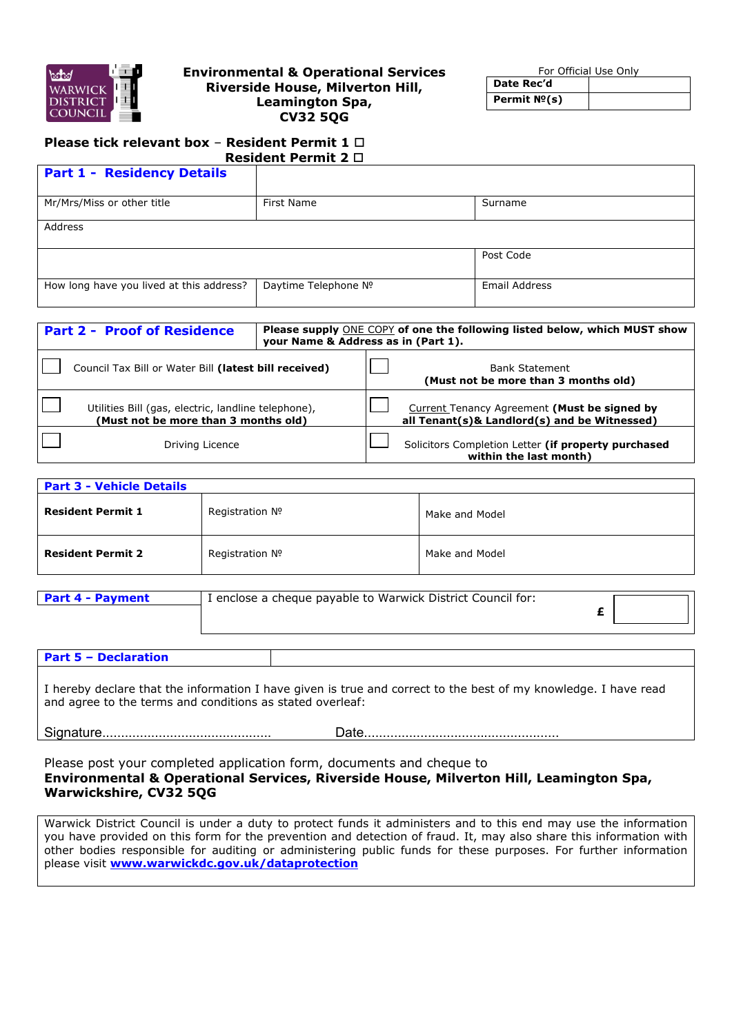

#### **Environmental & Operational Services Riverside House, Milverton Hill, Leamington Spa, CV32 5QG**

For Official Use Only **Date Rec'd** 

**Permit №(s)** 

#### **Please tick relevant box** – **Resident Permit 1 Resident Permit 2**

| <b>Resident Permit 2</b> $\Box$          |                      |               |  |  |
|------------------------------------------|----------------------|---------------|--|--|
| <b>Part 1 - Residency Details</b>        |                      |               |  |  |
| Mr/Mrs/Miss or other title               | First Name           | Surname       |  |  |
| Address                                  |                      |               |  |  |
|                                          |                      | Post Code     |  |  |
| How long have you lived at this address? | Daytime Telephone Nº | Email Address |  |  |

| <b>Part 2 - Proof of Residence</b>                                                          | Please supply ONE COPY of one the following listed below, which MUST show<br>your Name & Address as in (Part 1). |                                                                                              |  |
|---------------------------------------------------------------------------------------------|------------------------------------------------------------------------------------------------------------------|----------------------------------------------------------------------------------------------|--|
| Council Tax Bill or Water Bill (latest bill received)                                       |                                                                                                                  | <b>Bank Statement</b><br>(Must not be more than 3 months old)                                |  |
| Utilities Bill (gas, electric, landline telephone),<br>(Must not be more than 3 months old) |                                                                                                                  | Current Tenancy Agreement (Must be signed by<br>all Tenant(s)& Landlord(s) and be Witnessed) |  |
| Driving Licence                                                                             |                                                                                                                  | Solicitors Completion Letter (if property purchased<br>within the last month)                |  |

| <b>Part 3 - Vehicle Details</b> |                 |                |  |  |
|---------------------------------|-----------------|----------------|--|--|
| <b>Resident Permit 1</b>        | Registration Nº | Make and Model |  |  |
| <b>Resident Permit 2</b>        | Registration Nº | Make and Model |  |  |
|                                 |                 |                |  |  |

| <b>Part 4 - Payment</b> | I enclose a cheque payable to Warwick District Council for: |  |  |
|-------------------------|-------------------------------------------------------------|--|--|
|                         |                                                             |  |  |

 I hereby declare that the information I have given is true and correct to the best of my knowledge. I have read and agree to the terms and conditions as stated overleaf:

 $\overline{\phantom{a}}$ 

**Part 5 – Declaration** 

Signature............................................. Date....................................................

 Please post your completed application form, documents and cheque to  **Environmental & Operational Services, Riverside House, Milverton Hill, Leamington Spa, Warwickshire, CV32 5QG** 

 you have provided on this form for the prevention and detection of fraud. It, may also share this information with Warwick District Council is under a duty to protect funds it administers and to this end may use the information other bodies responsible for auditing or administering public funds for these purposes. For further information please visit **[www.warwickdc.gov.uk/dataprotection](http://www.warwickdc.gov.uk/dataprotection)**